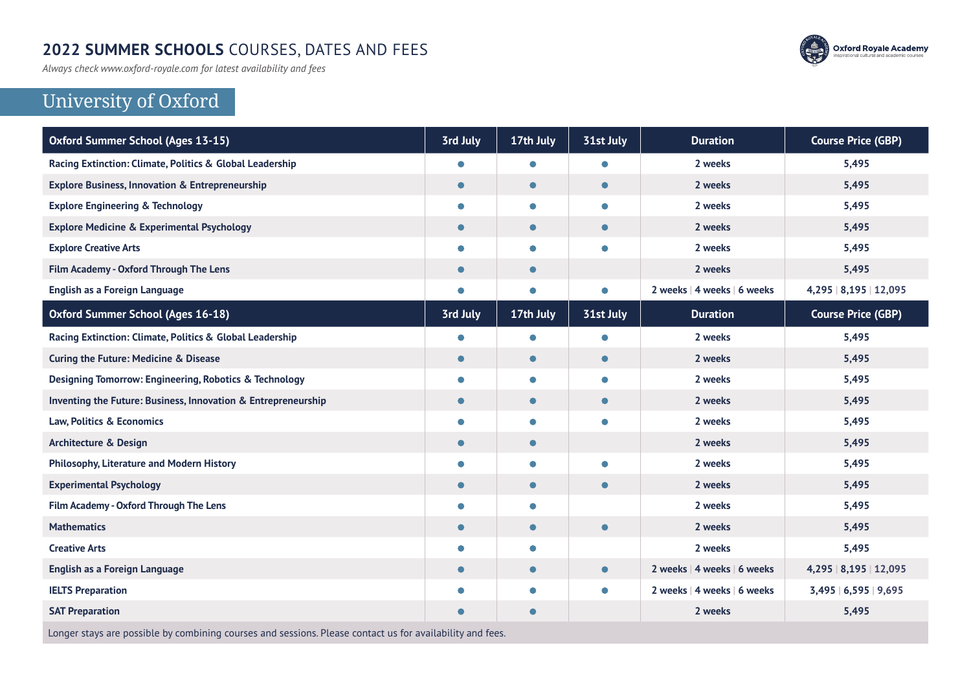#### **2022 SUMMER SCHOOLS** COURSES, DATES AND FEES

*Always check www.oxford-royale.com for latest availability and fees*



# University of Oxford

| 3rd July  | 17th July | 31st July | <b>Duration</b>             | <b>Course Price (GBP)</b> |
|-----------|-----------|-----------|-----------------------------|---------------------------|
| $\bullet$ | $\bullet$ | $\bullet$ | 2 weeks                     | 5,495                     |
| $\bullet$ | $\bullet$ | $\bullet$ | 2 weeks                     | 5,495                     |
| $\bullet$ | $\bullet$ | $\bullet$ | 2 weeks                     | 5,495                     |
| $\bullet$ | $\bullet$ | $\bullet$ | 2 weeks                     | 5,495                     |
| $\bullet$ | $\bullet$ | $\bullet$ | 2 weeks                     | 5,495                     |
| $\bullet$ | $\bullet$ |           | 2 weeks                     | 5,495                     |
| $\bullet$ | $\bullet$ | $\bullet$ | 2 weeks   4 weeks   6 weeks | 4,295   8,195   12,095    |
| 3rd July  | 17th July | 31st July | <b>Duration</b>             | <b>Course Price (GBP)</b> |
| $\bullet$ | $\bullet$ | $\bullet$ | 2 weeks                     | 5,495                     |
| $\bullet$ | $\bullet$ | $\bullet$ | 2 weeks                     | 5,495                     |
| $\bullet$ | $\bullet$ | $\bullet$ | 2 weeks                     | 5,495                     |
| $\bullet$ | $\bullet$ | $\bullet$ | 2 weeks                     | 5,495                     |
| $\bullet$ | $\bullet$ | $\bullet$ | 2 weeks                     | 5,495                     |
| $\bullet$ | $\bullet$ |           | 2 weeks                     | 5,495                     |
| $\bullet$ | $\bullet$ | $\bullet$ | 2 weeks                     | 5,495                     |
| $\bullet$ | $\bullet$ | $\bullet$ | 2 weeks                     | 5,495                     |
| $\bullet$ | $\bullet$ |           | 2 weeks                     | 5,495                     |
| $\bullet$ | $\bullet$ | $\bullet$ | 2 weeks                     | 5,495                     |
| $\bullet$ | $\bullet$ |           | 2 weeks                     | 5,495                     |
| $\bullet$ | $\bullet$ | $\bullet$ | 2 weeks   4 weeks   6 weeks | 4,295   8,195   12,095    |
| $\bullet$ | $\bullet$ | $\bullet$ | 2 weeks   4 weeks   6 weeks | 3,495   6,595   9,695     |
| O         | $\bullet$ |           | 2 weeks                     | 5,495                     |
|           |           |           |                             |                           |

Longer stays are possible by combining courses and sessions. Please contact us for availability and fees.